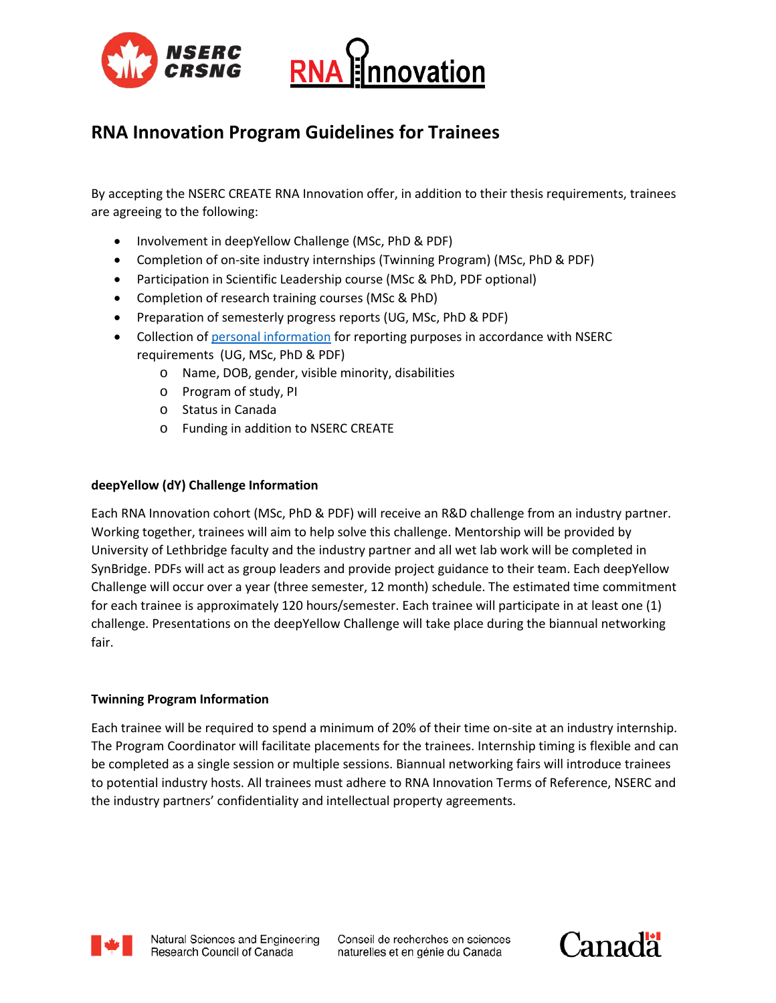



# **RNA Innovation Program Guidelines for Trainees**

By accepting the NSERC CREATE RNA Innovation offer, in addition to their thesis requirements, trainees are agreeing to the following:

- Involvement in deepYellow Challenge (MSc, PhD & PDF)
- Completion of on-site industry internships (Twinning Program) (MSc, PhD & PDF)
- Participation in Scientific Leadership course (MSc & PhD, PDF optional)
- Completion of research training courses (MSc & PhD)
- Preparation of semesterly progress reports (UG, MSc, PhD & PDF)
- Collection of [personal information](http://www.nserc-crsng.gc.ca/NSERC-CRSNG/Policies-Politiques/atip-aiprp_eng.asp) for reporting purposes in accordance with NSERC requirements (UG, MSc, PhD & PDF)
	- o Name, DOB, gender, visible minority, disabilities
	- o Program of study, PI
	- o Status in Canada
	- o Funding in addition to NSERC CREATE

### **deepYellow (dY) Challenge Information**

Each RNA Innovation cohort (MSc, PhD & PDF) will receive an R&D challenge from an industry partner. Working together, trainees will aim to help solve this challenge. Mentorship will be provided by University of Lethbridge faculty and the industry partner and all wet lab work will be completed in SynBridge. PDFs will act as group leaders and provide project guidance to their team. Each deepYellow Challenge will occur over a year (three semester, 12 month) schedule. The estimated time commitment for each trainee is approximately 120 hours/semester. Each trainee will participate in at least one (1) challenge. Presentations on the deepYellow Challenge will take place during the biannual networking fair.

#### **Twinning Program Information**

Each trainee will be required to spend a minimum of 20% of their time on-site at an industry internship. The Program Coordinator will facilitate placements for the trainees. Internship timing is flexible and can be completed as a single session or multiple sessions. Biannual networking fairs will introduce trainees to potential industry hosts. All trainees must adhere to RNA Innovation Terms of Reference, NSERC and the industry partners' confidentiality and intellectual property agreements.



Conseil de recherches en sciences naturelles et en génie du Canada

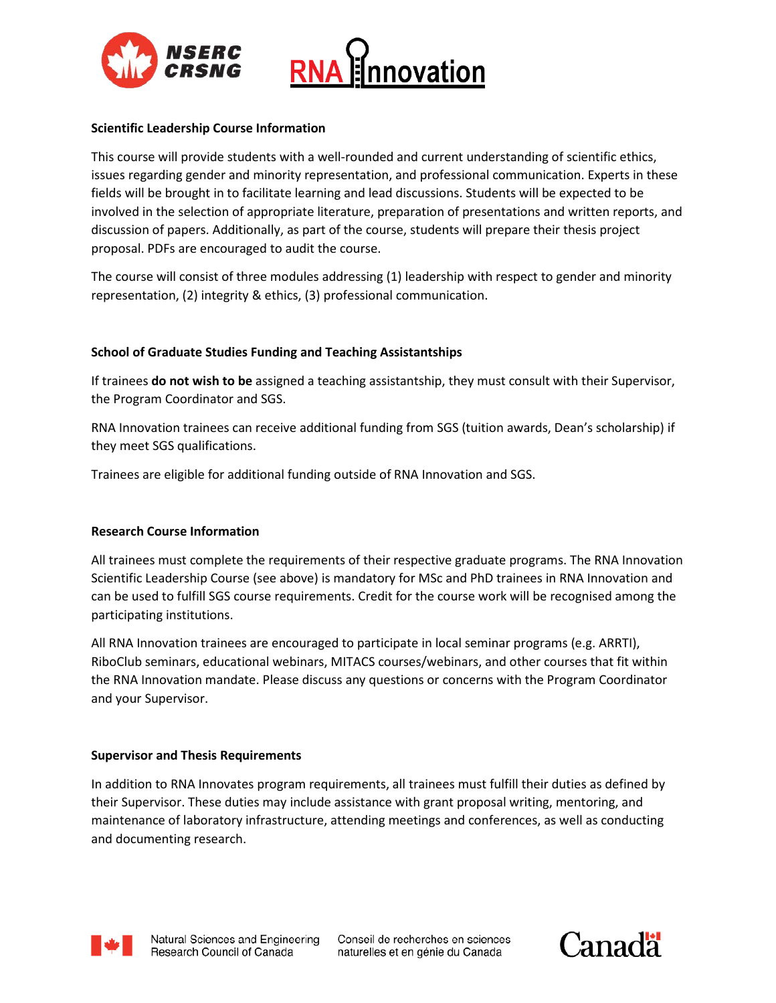



# **Scientific Leadership Course Information**

This course will provide students with a well-rounded and current understanding of scientific ethics, issues regarding gender and minority representation, and professional communication. Experts in these fields will be brought in to facilitate learning and lead discussions. Students will be expected to be involved in the selection of appropriate literature, preparation of presentations and written reports, and discussion of papers. Additionally, as part of the course, students will prepare their thesis project proposal. PDFs are encouraged to audit the course.

The course will consist of three modules addressing (1) leadership with respect to gender and minority representation, (2) integrity & ethics, (3) professional communication.

# **School of Graduate Studies Funding and Teaching Assistantships**

If trainees **do not wish to be** assigned a teaching assistantship, they must consult with their Supervisor, the Program Coordinator and SGS.

RNA Innovation trainees can receive additional funding from SGS (tuition awards, Dean's scholarship) if they meet SGS qualifications.

Trainees are eligible for additional funding outside of RNA Innovation and SGS.

### **Research Course Information**

All trainees must complete the requirements of their respective graduate programs. The RNA Innovation Scientific Leadership Course (see above) is mandatory for MSc and PhD trainees in RNA Innovation and can be used to fulfill SGS course requirements. Credit for the course work will be recognised among the participating institutions.

All RNA Innovation trainees are encouraged to participate in local seminar programs (e.g. ARRTI), RiboClub seminars, educational webinars, MITACS courses/webinars, and other courses that fit within the RNA Innovation mandate. Please discuss any questions or concerns with the Program Coordinator and your Supervisor.

### **Supervisor and Thesis Requirements**

In addition to RNA Innovates program requirements, all trainees must fulfill their duties as defined by their Supervisor. These duties may include assistance with grant proposal writing, mentoring, and maintenance of laboratory infrastructure, attending meetings and conferences, as well as conducting and documenting research.



Conseil de recherches en sciences naturelles et en génie du Canada